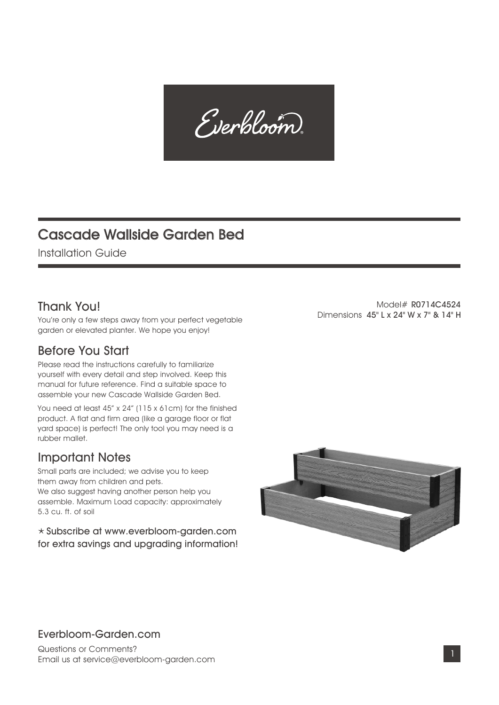Everbloom

## Cascade Wallside Garden Bed

Installation Guide

### Thank You!

You're only a few steps away from your perfect vegetable garden or elevated planter. We hope you enjoy!

#### Before You Start

Please read the instructions carefully to familiarize yourself with every detail and step involved. Keep this manual for future reference. Find a suitable space to assemble your new Cascade Wallside Garden Bed.

You need at least 45" x 24" (115 x 61cm) for the finished product. A flat and firm area (like a garage floor or flat yard space) is perfect! The only tool you may need is a rubber mallet.

#### Important Notes

Small parts are included; we advise you to keep them away from children and pets. We also suggest having another person help you assemble. Maximum Load capacity: approximately 5.3 cu. ft. of soil

 Subscribe at www.everbloom-garden.com for extra savings and upgrading information!



#### Everbloom-Garden.com

Questions or Comments? Email us at service@everbloom-garden.com

Model# R0714C4524 Dimensions 45" L x 24" W x 7" & 14" H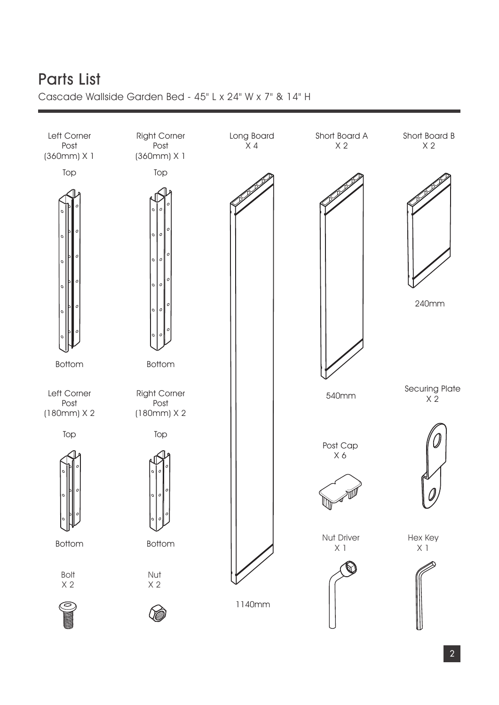# Parts List

Cascade Wallside Garden Bed - 45" L x 24" W x 7" & 14" H

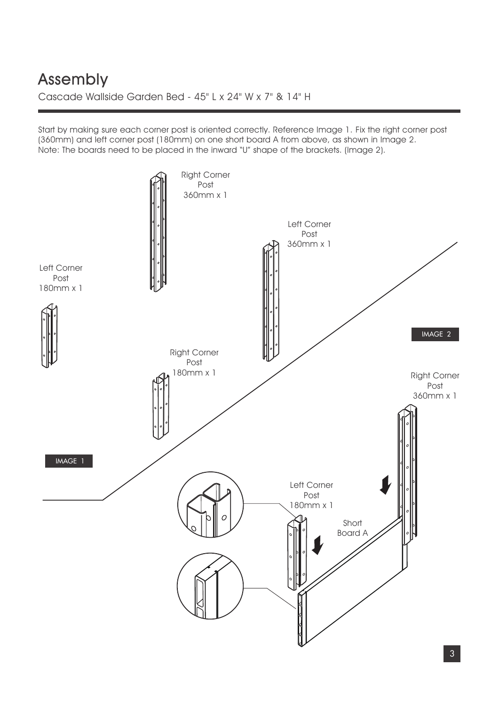## Cascade Wallside Garden Bed - 45" L x 24" W x 7" & 14" H Assembly

Start by making sure each corner post is oriented correctly. Reference Image 1. Fix the right corner post (360mm) and left corner post (180mm) on one short board A from above, as shown in Image 2. Note: The boards need to be placed in the inward "U" shape of the brackets. (Image 2).

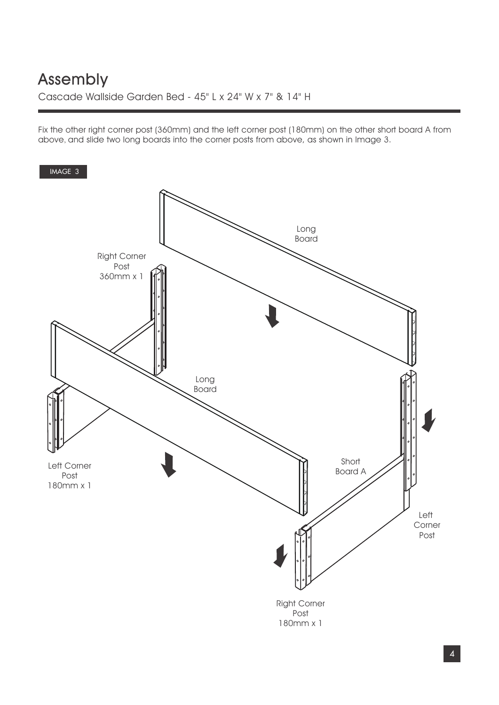Fix the other right corner post (360mm) and the left corner post (180mm) on the other short board A from above, and slide two long boards into the corner posts from above, as shown in Image 3.

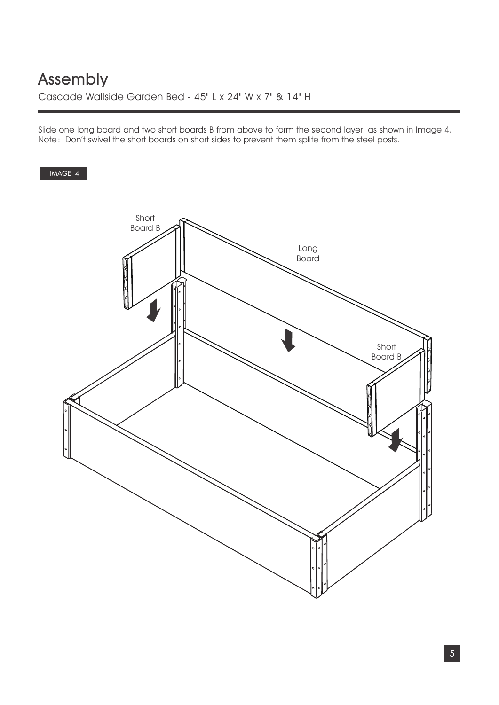Slide one long board and two short boards B from above to form the second layer, as shown in Image 4. Note: Don't swivel the short boards on short sides to prevent them splite from the steel posts.

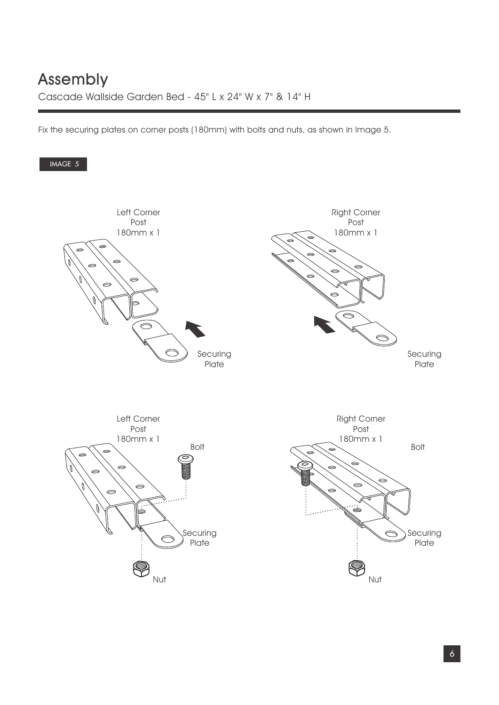Fix the securing plates on corner posts (180mm) with bolts and nuts, as shown in Image 5.

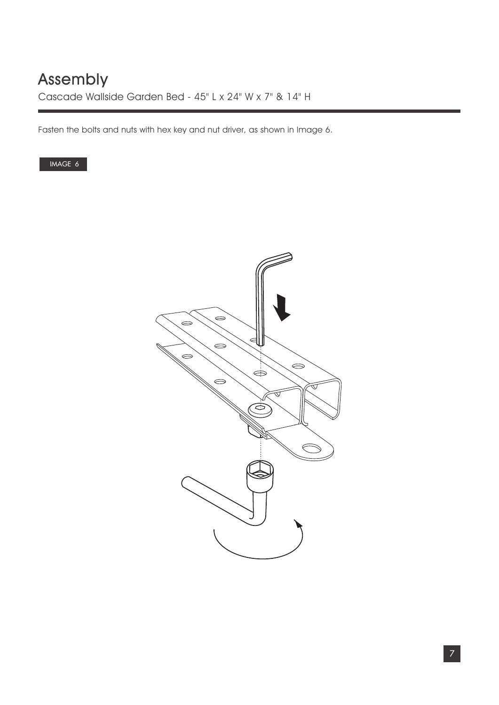Fasten the bolts and nuts with hex key and nut driver, as shown in Image 6.

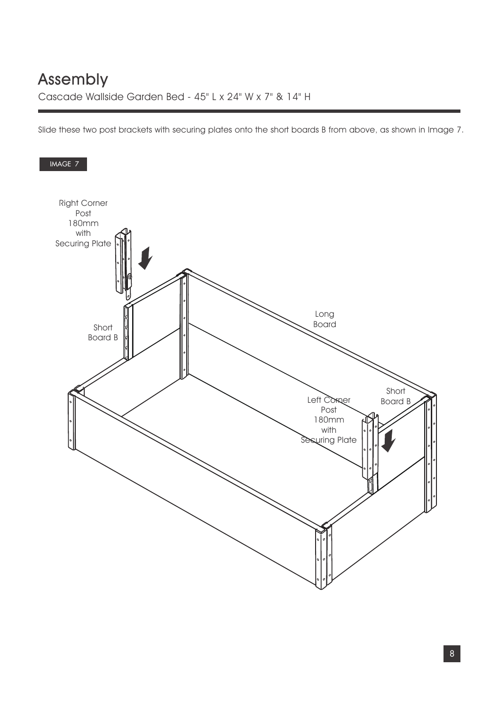Slide these two post brackets with securing plates onto the short boards B from above, as shown in Image 7.

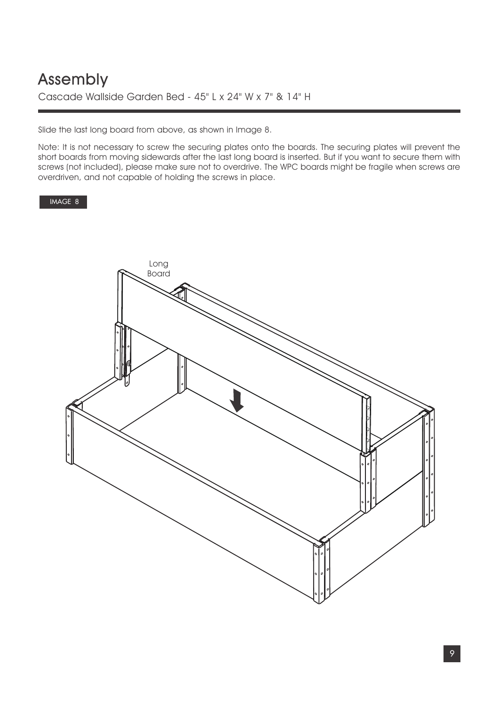### Cascade Wallside Garden Bed - 45" L x 24" W x 7" & 14" H Assembly

Slide the last long board from above, as shown in Image 8.

Note: It is not necessary to screw the securing plates onto the boards. The securing plates will prevent the short boards from moving sidewards after the last long board is inserted. But if you want to secure them with screws (not included), please make sure not to overdrive. The WPC boards might be fragile when screws are overdriven, and not capable of holding the screws in place.

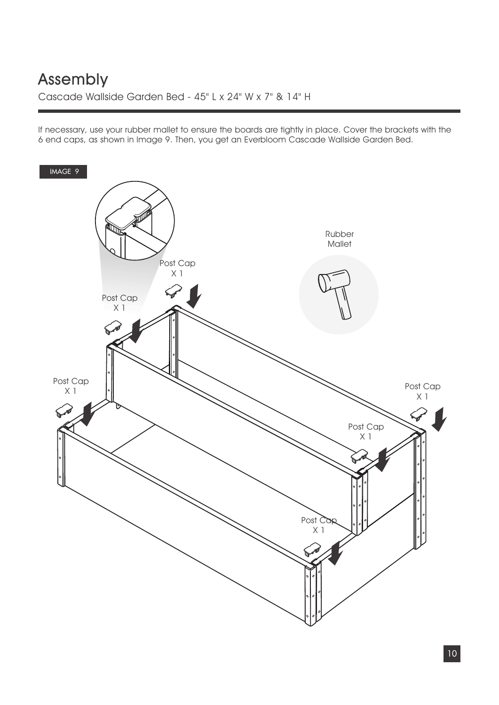If necessary, use your rubber mallet to ensure the boards are tightly in place. Cover the brackets with the 6 end caps, as shown in Image 9. Then, you get an Everbloom Cascade Wallside Garden Bed.

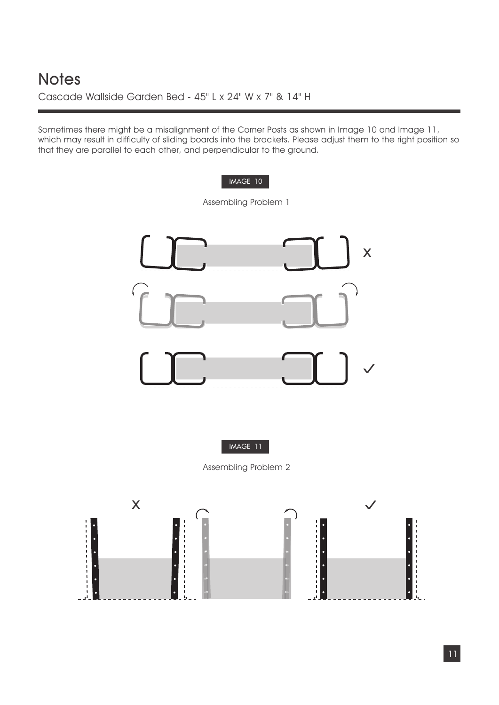Cascade Wallside Garden Bed - 45" L x 24" W x 7" & 14" H

Sometimes there might be a misalignment of the Corner Posts as shown in Image 10 and Image 11, which may result in difficulty of sliding boards into the brackets. Please adjust them to the right position so that they are parallel to each other, and perpendicular to the ground.